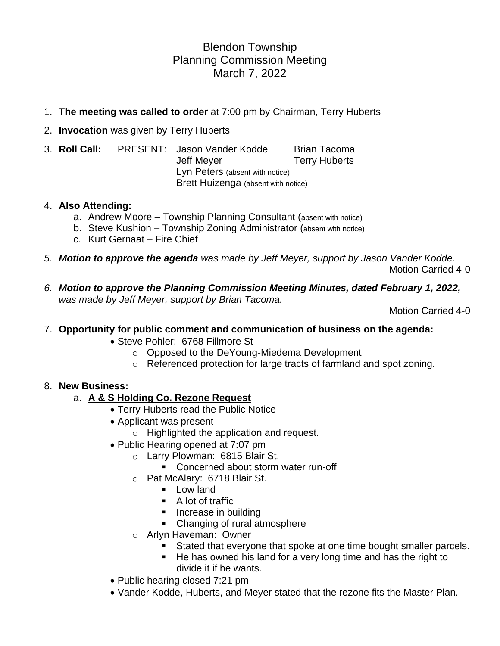## Blendon Township Planning Commission Meeting March 7, 2022

- 1. **The meeting was called to order** at 7:00 pm by Chairman, Terry Huberts
- 2. **Invocation** was given by Terry Huberts
- 3. **Roll Call:** PRESENT: Jason Vander Kodde Brian Tacoma Jeff Meyer **Terry Huberts** Lyn Peters (absent with notice) Brett Huizenga (absent with notice)

#### 4. **Also Attending:**

- a. Andrew Moore Township Planning Consultant (absent with notice)
- b. Steve Kushion Township Zoning Administrator (absent with notice)
- c. Kurt Gernaat Fire Chief
- *5. Motion to approve the agenda was made by Jeff Meyer, support by Jason Vander Kodde.* Motion Carried 4-0
- *6. Motion to approve the Planning Commission Meeting Minutes, dated February 1, 2022, was made by Jeff Meyer, support by Brian Tacoma.*

Motion Carried 4-0

#### 7. **Opportunity for public comment and communication of business on the agenda:**

- Steve Pohler: 6768 Fillmore St
	- o Opposed to the DeYoung-Miedema Development
	- o Referenced protection for large tracts of farmland and spot zoning.

#### 8. **New Business:**

#### a. **A & S Holding Co. Rezone Request**

- Terry Huberts read the Public Notice
- Applicant was present
	- o Highlighted the application and request.
- Public Hearing opened at 7:07 pm
	- o Larry Plowman: 6815 Blair St.
		- Concerned about storm water run-off
	- o Pat McAlary: 6718 Blair St.
		- Low land
		- A lot of traffic
		- **EXECUTE:** Increase in building
		- Changing of rural atmosphere
	- o Arlyn Haveman: Owner
		- **EXECT** Stated that everyone that spoke at one time bought smaller parcels.
		- He has owned his land for a very long time and has the right to divide it if he wants.
- Public hearing closed 7:21 pm
- Vander Kodde, Huberts, and Meyer stated that the rezone fits the Master Plan.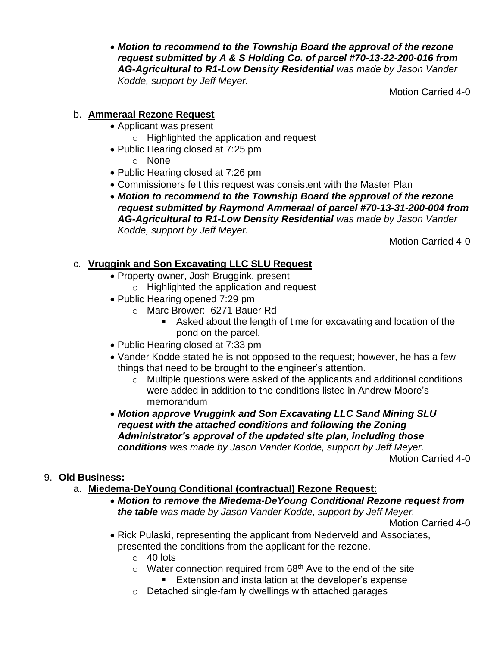• *Motion to recommend to the Township Board the approval of the rezone request submitted by A & S Holding Co. of parcel #70-13-22-200-016 from AG-Agricultural to R1-Low Density Residential was made by Jason Vander Kodde, support by Jeff Meyer.*

Motion Carried 4-0

#### b. **Ammeraal Rezone Request**

- Applicant was present
	- o Highlighted the application and request
- Public Hearing closed at 7:25 pm
	- o None
- Public Hearing closed at 7:26 pm
- Commissioners felt this request was consistent with the Master Plan
- *Motion to recommend to the Township Board the approval of the rezone request submitted by Raymond Ammeraal of parcel #70-13-31-200-004 from AG-Agricultural to R1-Low Density Residential was made by Jason Vander Kodde, support by Jeff Meyer.*

Motion Carried 4-0

## c. **Vruggink and Son Excavating LLC SLU Request**

- Property owner, Josh Bruggink, present
	- o Highlighted the application and request
- Public Hearing opened 7:29 pm
	- o Marc Brower: 6271 Bauer Rd
		- Asked about the length of time for excavating and location of the pond on the parcel.
- Public Hearing closed at 7:33 pm
- Vander Kodde stated he is not opposed to the request; however, he has a few things that need to be brought to the engineer's attention.
	- o Multiple questions were asked of the applicants and additional conditions were added in addition to the conditions listed in Andrew Moore's memorandum
- *Motion approve Vruggink and Son Excavating LLC Sand Mining SLU request with the attached conditions and following the Zoning Administrator's approval of the updated site plan, including those conditions was made by Jason Vander Kodde, support by Jeff Meyer.*

Motion Carried 4-0

## 9. **Old Business:**

- a. **Miedema-DeYoung Conditional (contractual) Rezone Request:**
	- *Motion to remove the Miedema-DeYoung Conditional Rezone request from the table was made by Jason Vander Kodde, support by Jeff Meyer.*

Motion Carried 4-0

- Rick Pulaski, representing the applicant from Nederveld and Associates, presented the conditions from the applicant for the rezone.
	- $\circ$  40 lots
	- $\circ$  Water connection required from 68<sup>th</sup> Ave to the end of the site
		- Extension and installation at the developer's expense
	- o Detached single-family dwellings with attached garages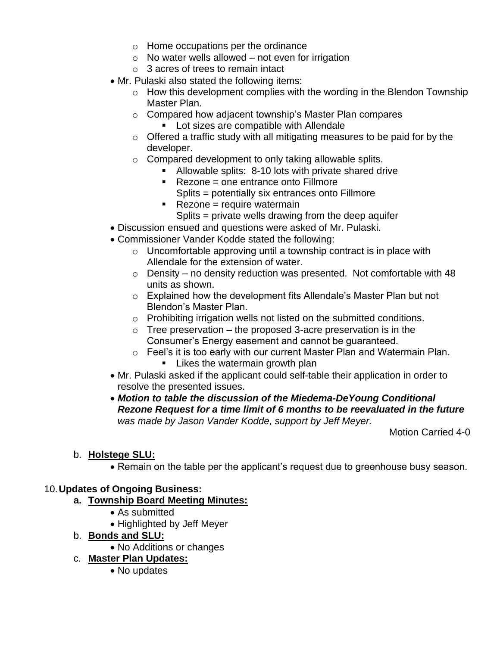- o Home occupations per the ordinance
- $\circ$  No water wells allowed not even for irrigation
- $\circ$  3 acres of trees to remain intact
- Mr. Pulaski also stated the following items:
	- o How this development complies with the wording in the Blendon Township Master Plan.
	- o Compared how adjacent township's Master Plan compares
		- Lot sizes are compatible with Allendale
	- o Offered a traffic study with all mitigating measures to be paid for by the developer.
	- o Compared development to only taking allowable splits.
		- Allowable splits: 8-10 lots with private shared drive
			- Rezone = one entrance onto Fillmore
				- Splits = potentially six entrances onto Fillmore
			- $\blacksquare$  Rezone = require watermain
			- Splits = private wells drawing from the deep aquifer
- Discussion ensued and questions were asked of Mr. Pulaski.
- Commissioner Vander Kodde stated the following:
	- $\circ$  Uncomfortable approving until a township contract is in place with Allendale for the extension of water.
	- $\circ$  Density no density reduction was presented. Not comfortable with 48 units as shown.
	- o Explained how the development fits Allendale's Master Plan but not Blendon's Master Plan.
	- o Prohibiting irrigation wells not listed on the submitted conditions.
	- $\circ$  Tree preservation the proposed 3-acre preservation is in the Consumer's Energy easement and cannot be guaranteed.
	- o Feel's it is too early with our current Master Plan and Watermain Plan.
		- **E** Likes the watermain growth plan
- Mr. Pulaski asked if the applicant could self-table their application in order to resolve the presented issues.
- *Motion to table the discussion of the Miedema-DeYoung Conditional Rezone Request for a time limit of 6 months to be reevaluated in the future was made by Jason Vander Kodde, support by Jeff Meyer.*

Motion Carried 4-0

#### b. **Holstege SLU:**

• Remain on the table per the applicant's request due to greenhouse busy season.

#### 10.**Updates of Ongoing Business:**

- **a. Township Board Meeting Minutes:**
	- As submitted
	- Highlighted by Jeff Meyer
- b. **Bonds and SLU:**
	- No Additions or changes

#### c. **Master Plan Updates:**

• No updates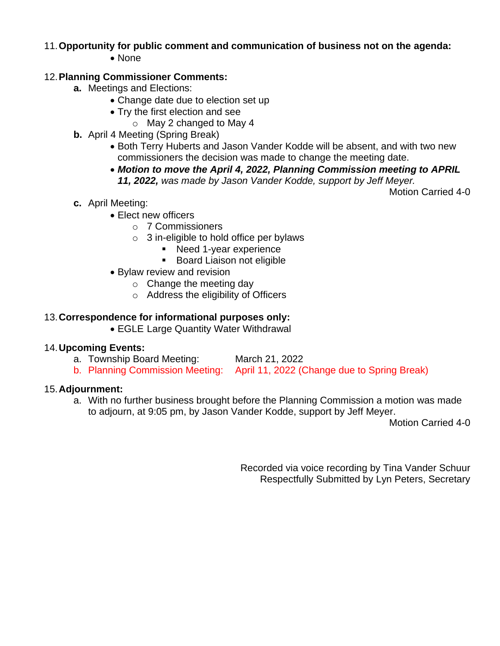## 11.**Opportunity for public comment and communication of business not on the agenda:**

• None

#### 12.**Planning Commissioner Comments:**

- **a.** Meetings and Elections:
	- Change date due to election set up
	- Try the first election and see
		- o May 2 changed to May 4
- **b.** April 4 Meeting (Spring Break)
	- Both Terry Huberts and Jason Vander Kodde will be absent, and with two new commissioners the decision was made to change the meeting date.
	- *Motion to move the April 4, 2022, Planning Commission meeting to APRIL 11, 2022, was made by Jason Vander Kodde, support by Jeff Meyer.*

Motion Carried 4-0

- **c.** April Meeting:
	- Elect new officers
		- o 7 Commissioners
		- $\circ$  3 in-eligible to hold office per bylaws
			- Need 1-year experience
			- Board Liaison not eligible
	- Bylaw review and revision
		- $\circ$  Change the meeting day
		- o Address the eligibility of Officers

#### 13.**Correspondence for informational purposes only:**

• EGLE Large Quantity Water Withdrawal

#### 14.**Upcoming Events:**

- a. Township Board Meeting: March 21, 2022
- b. Planning Commission Meeting: April 11, 2022 (Change due to Spring Break)

#### 15.**Adjournment:**

a. With no further business brought before the Planning Commission a motion was made to adjourn, at 9:05 pm, by Jason Vander Kodde, support by Jeff Meyer.

Motion Carried 4-0

Recorded via voice recording by Tina Vander Schuur Respectfully Submitted by Lyn Peters, Secretary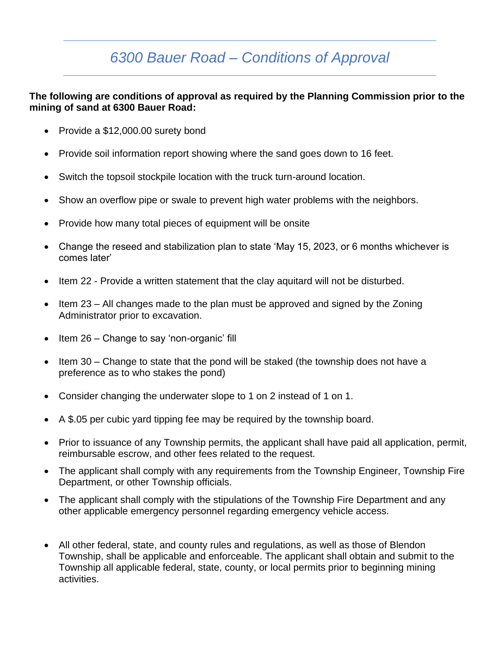# *6300 Bauer Road – Conditions of Approval*

#### **The following are conditions of approval as required by the Planning Commission prior to the mining of sand at 6300 Bauer Road:**

- Provide a \$12,000.00 surety bond
- Provide soil information report showing where the sand goes down to 16 feet.
- Switch the topsoil stockpile location with the truck turn-around location.
- Show an overflow pipe or swale to prevent high water problems with the neighbors.
- Provide how many total pieces of equipment will be onsite
- Change the reseed and stabilization plan to state 'May 15, 2023, or 6 months whichever is comes later'
- Item 22 Provide a written statement that the clay aquitard will not be disturbed.
- Item 23 All changes made to the plan must be approved and signed by the Zoning Administrator prior to excavation.
- Item 26 Change to say 'non-organic' fill
- Item 30 Change to state that the pond will be staked (the township does not have a preference as to who stakes the pond)
- Consider changing the underwater slope to 1 on 2 instead of 1 on 1.
- A \$.05 per cubic yard tipping fee may be required by the township board.
- Prior to issuance of any Township permits, the applicant shall have paid all application, permit, reimbursable escrow, and other fees related to the request.
- The applicant shall comply with any requirements from the Township Engineer, Township Fire Department, or other Township officials.
- The applicant shall comply with the stipulations of the Township Fire Department and any other applicable emergency personnel regarding emergency vehicle access.
- All other federal, state, and county rules and regulations, as well as those of Blendon Township, shall be applicable and enforceable. The applicant shall obtain and submit to the Township all applicable federal, state, county, or local permits prior to beginning mining activities.